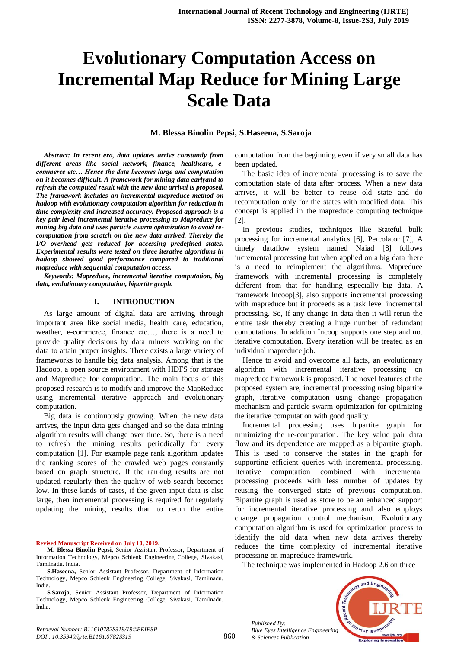# **Evolutionary Computation Access on Incremental Map Reduce for Mining Large Scale Data**

## **M. Blessa Binolin Pepsi, S.Haseena, S.Saroja**

*Abstract: In recent era, data updates arrive constantly from different areas like social network, finance, healthcare, ecommerce etc… Hence the data becomes large and computation on it becomes difficult. A framework for mining data earlyand to refresh the computed result with the new data arrival is proposed. The framework includes an incremental mapreduce method on hadoop with evolutionary computation algorithm for reduction in time complexity and increased accuracy. Proposed approach is a key pair level incremental iterative processing to Mapreduce for mining big data and uses particle swarm optimization to avoid recomputation from scratch on the new data arrived. Thereby the I/O overhead gets reduced for accessing predefined states. Experimental results were tested on three iterative algorithms in hadoop showed good performance compared to traditional mapreduce with sequential computation access.*

*Keywords: Mapreduce, incremental iterative computation, big data, evolutionary computation, bipartite graph.*

#### **I. INTRODUCTION**

As large amount of digital data are arriving through important area like social media, health care, education, weather, e-commerce, finance etc…, there is a need to provide quality decisions by data miners working on the data to attain proper insights. There exists a large variety of frameworks to handle big data analysis. Among that is the Hadoop, a open source environment with HDFS for storage and Mapreduce for computation. The main focus of this proposed research is to modify and improve the MapReduce using incremental iterative approach and evolutionary computation.

Big data is continuously growing. When the new data arrives, the input data gets changed and so the data mining algorithm results will change over time. So, there is a need to refresh the mining results periodically for every computation [1]. For example page rank algorithm updates the ranking scores of the crawled web pages constantly based on graph structure. If the ranking results are not updated regularly then the quality of web search becomes low. In these kinds of cases, if the given input data is also large, then incremental processing is required for regularly updating the mining results than to rerun the entire

**Revised Manuscript Received on July 10, 2019.**

 $\ddot{\phantom{a}}$ 

computation from the beginning even if very small data has been updated.

The basic idea of incremental processing is to save the computation state of data after process. When a new data arrives, it will be better to reuse old state and do recomputation only for the states with modified data. This concept is applied in the mapreduce computing technique [2].

In previous studies, techniques like Stateful bulk processing for incremental analytics [6], Percolator [7], A timely dataflow system named Naiad [8] follows incremental processing but when applied on a big data there is a need to reimplement the algorithms. Mapreduce framework with incremental processing is completely different from that for handling especially big data. A framework Incoop[3], also supports incremental processing with mapreduce but it proceeds as a task level incremental processing. So, if any change in data then it will rerun the entire task thereby creating a huge number of redundant computations. In addition Incoop supports one step and not iterative computation. Every iteration will be treated as an individual mapreduce job.

Hence to avoid and overcome all facts, an evolutionary algorithm with incremental iterative processing on mapreduce framework is proposed. The novel features of the proposed system are, incremental processing using bipartite graph, iterative computation using change propagation mechanism and particle swarm optimization for optimizing the iterative computation with good quality.

Incremental processing uses bipartite graph for minimizing the re-computation. The key value pair data flow and its dependence are mapped as a bipartite graph. This is used to conserve the states in the graph for supporting efficient queries with incremental processing. Iterative computation combined with incremental processing proceeds with less number of updates by reusing the converged state of previous computation. Bipartite graph is used as store to be an enhanced support for incremental iterative processing and also employs change propagation control mechanism. Evolutionary computation algorithm is used for optimization process to identify the old data when new data arrives thereby reduces the time complexity of incremental iterative processing on mapreduce framework.

The technique was implemented in Hadoop 2.6 on three



860

**M. Blessa Binolin Pepsi,** Senior Assistant Professor, Department of Information Technology, Mepco Schlenk Engineering College, Sivakasi, Tamilnadu. India.

**S.Haseena,** Senior Assistant Professor, Department of Information Technology, Mepco Schlenk Engineering College, Sivakasi, Tamilnadu. India.

**S.Saroja,** Senior Assistant Professor, Department of Information Technology, Mepco Schlenk Engineering College, Sivakasi, Tamilnadu. India.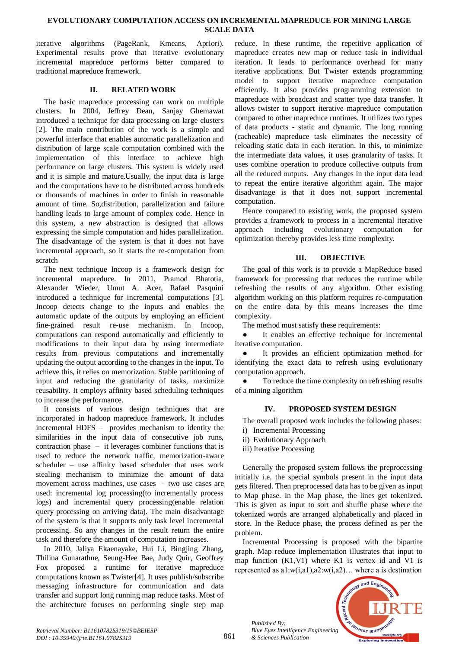#### **EVOLUTIONARY COMPUTATION ACCESS ON INCREMENTAL MAPREDUCE FOR MINING LARGE SCALE DATA**

iterative algorithms (PageRank, Kmeans, Apriori). Experimental results prove that iterative evolutionary incremental mapreduce performs better compared to traditional mapreduce framework.

## **II. RELATED WORK**

The basic mapreduce processing can work on multiple clusters. In 2004, Jeffrey Dean, Sanjay Ghemawat introduced a technique for data processing on large clusters [2]. The main contribution of the work is a simple and powerful interface that enables automatic parallelization and distribution of large scale computation combined with the implementation of this interface to achieve high performance on large clusters. This system is widely used and it is simple and mature.Usually, the input data is large and the computations have to be distributed across hundreds or thousands of machines in order to finish in reasonable amount of time. So,distribution, parallelization and failure handling leads to large amount of complex code. Hence in this system, a new abstraction is designed that allows expressing the simple computation and hides parallelization. The disadvantage of the system is that it does not have incremental approach, so it starts the re-computation from scratch

The next technique Incoop is a framework design for incremental mapreduce. In 2011, Pramod Bhatotia, Alexander Wieder, Umut A. Acer, Rafael Pasquini introduced a technique for incremental computations [3]. Incoop detects change to the inputs and enables the automatic update of the outputs by employing an efficient fine-grained result re-use mechanism. In Incoop, computations can respond automatically and efficiently to modifications to their input data by using intermediate results from previous computations and incrementally updating the output according to the changes in the input. To achieve this, it relies on memorization. Stable partitioning of input and reducing the granularity of tasks, maximize reusability. It employs affinity based scheduling techniques to increase the performance.

It consists of various design techniques that are incorporated in hadoop mapreduce framework. It includes incremental HDFS – provides mechanism to identity the similarities in the input data of consecutive job runs, contraction phase – it leverages combiner functions that is used to reduce the network traffic, memorization-aware scheduler – use affinity based scheduler that uses work stealing mechanism to minimize the amount of data movement across machines, use cases – two use cases are used: incremental log processing(to incrementally process logs) and incremental query processing(enable relation query processing on arriving data). The main disadvantage of the system is that it supports only task level incremental processing. So any changes in the result return the entire task and therefore the amount of computation increases.

In 2010, Jaliya Ekaenayake, Hui Li, Bingjing Zhang, Thilina Gunarathne, Seung-Hee Bae, Judy Quir, Geoffrey Fox proposed a runtime for iterative mapreduce computations known as Twister[4]. It uses publish/subscribe messaging infrastructure for communication and data transfer and support long running map reduce tasks. Most of the architecture focuses on performing single step map

reduce. In these runtime, the repetitive application of mapreduce creates new map or reduce task in individual iteration. It leads to performance overhead for many iterative applications. But Twister extends programming model to support iterative mapreduce computation efficiently. It also provides programming extension to mapreduce with broadcast and scatter type data transfer. It allows twister to support iterative mapreduce computation compared to other mapreduce runtimes. It utilizes two types of data products - static and dynamic. The long running (cacheable) mapreduce task eliminates the necessity of reloading static data in each iteration. In this, to minimize the intermediate data values, it uses granularity of tasks. It uses combine operation to produce collective outputs from all the reduced outputs. Any changes in the input data lead to repeat the entire iterative algorithm again. The major disadvantage is that it does not support incremental computation.

Hence compared to existing work, the proposed system provides a framework to process in a incremental iterative approach including evolutionary computation for optimization thereby provides less time complexity.

# **III. OBJECTIVE**

The goal of this work is to provide a MapReduce based framework for processing that reduces the runtime while refreshing the results of any algorithm. Other existing algorithm working on this platform requires re-computation on the entire data by this means increases the time complexity.

The method must satisfy these requirements:

It enables an effective technique for incremental iterative computation.

It provides an efficient optimization method for identifying the exact data to refresh using evolutionary computation approach.

To reduce the time complexity on refreshing results of a mining algorithm

# **IV. PROPOSED SYSTEM DESIGN**

The overall proposed work includes the following phases: i) Incremental Processing

- ii) Evolutionary Approach
- iii) Iterative Processing
- 

Generally the proposed system follows the preprocessing initially i.e. the special symbols present in the input data gets filtered. Then preprocessed data has to be given as input to Map phase. In the Map phase, the lines get tokenized. This is given as input to sort and shuffle phase where the tokenized words are arranged alphabetically and placed in store. In the Reduce phase, the process defined as per the problem.

Incremental Processing is proposed with the bipartite graph. Map reduce implementation illustrates that input to map function (K1,V1) where K1 is vertex id and V1 is represented as a1:w(i,a1),a2:w(i,a2)… where a is destination



*Published By:*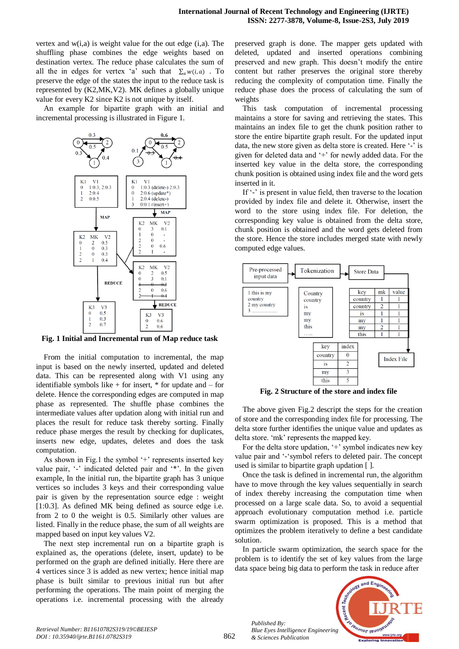vertex and  $w(i,a)$  is weight value for the out edge  $(i,a)$ . The shuffling phase combines the edge weights based on destination vertex. The reduce phase calculates the sum of all the in edges for vertex 'a' such that  $\sum_a w(i, a)$ . To preserve the edge of the states the input to the reduce task is represented by (K2,MK,V2). MK defines a globally unique value for every K2 since K2 is not unique by itself.

An example for bipartite graph with an initial and incremental processing is illustrated in Figure 1.



**Fig. 1 Initial and Incremental run of Map reduce task**

From the initial computation to incremental, the map input is based on the newly inserted, updated and deleted data. This can be represented along with V1 using any identifiable symbols like  $+$  for insert,  $*$  for update and  $-$  for delete. Hence the corresponding edges are computed in map phase as represented. The shuffle phase combines the intermediate values after updation along with initial run and places the result for reduce task thereby sorting. Finally reduce phase merges the result by checking for duplicates, inserts new edge, updates, deletes and does the task computation.

As shown in Fig.1 the symbol '+' represents inserted key value pair, '-' indicated deleted pair and '\*'. In the given example, In the initial run, the bipartite graph has 3 unique vertices so includes 3 keys and their corresponding value pair is given by the representation source edge : weight [1:0.3]. As defined MK being defined as source edge i.e. from 2 to 0 the weight is 0.5. Similarly other values are listed. Finally in the reduce phase, the sum of all weights are mapped based on input key values V2.

The next step incremental run on a bipartite graph is explained as, the operations (delete, insert, update) to be performed on the graph are defined initially. Here there are 4 vertices since 3 is added as new vertex; hence initial map phase is built similar to previous initial run but after performing the operations. The main point of merging the operations i.e. incremental processing with the already

preserved graph is done. The mapper gets updated with deleted, updated and inserted operations combining preserved and new graph. This doesn't modify the entire content but rather preserves the original store thereby reducing the complexity of computation time. Finally the reduce phase does the process of calculating the sum of weights

This task computation of incremental processing maintains a store for saving and retrieving the states. This maintains an index file to get the chunk position rather to store the entire bipartite graph result. For the updated input data, the new store given as delta store is created. Here '-' is given for deleted data and '+' for newly added data. For the inserted key value in the delta store, the corresponding chunk position is obtained using index file and the word gets inserted in it.

If '-' is present in value field, then traverse to the location provided by index file and delete it. Otherwise, insert the word to the store using index file. For deletion, the corresponding key value is obtained from the delta store, chunk position is obtained and the word gets deleted from the store. Hence the store includes merged state with newly computed edge values.



**Fig. 2 Structure of the store and index file**

The above given Fig.2 descript the steps for the creation of store and the corresponding index file for processing. The delta store further identifies the unique value and updates as delta store. 'mk' represents the mapped key.

For the delta store updation, '+' symbol indicates new key value pair and '-'symbol refers to deleted pair. The concept used is similar to bipartite graph updation [ ].

Once the task is defined in incremental run, the algorithm have to move through the key values sequentially in search of index thereby increasing the computation time when processed on a large scale data. So, to avoid a sequential approach evolutionary computation method i.e. particle swarm optimization is proposed. This is a method that optimizes the problem iteratively to define a best candidate solution.

In particle swarm optimization, the search space for the problem is to identify the set of key values from the large data space being big data to perform the task in reduce after



*Published By:*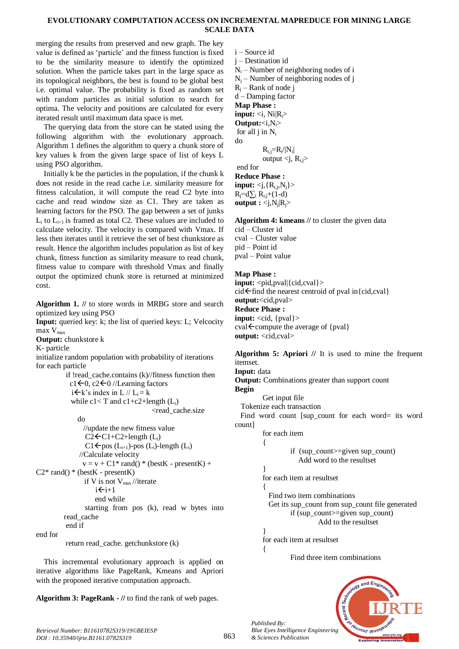#### **EVOLUTIONARY COMPUTATION ACCESS ON INCREMENTAL MAPREDUCE FOR MINING LARGE SCALE DATA**

merging the results from preserved and new graph. The key value is defined as 'particle' and the fitness function is fixed to be the similarity measure to identify the optimized solution. When the particle takes part in the large space as its topological neighbors, the best is found to be global best i.e. optimal value. The probability is fixed as random set with random particles as initial solution to search for optima. The velocity and positions are calculated for every iterated result until maximum data space is met.

The querying data from the store can be stated using the following algorithm with the evolutionary approach. Algorithm 1 defines the algorithm to query a chunk store of key values k from the given large space of list of keys L using PSO algorithm.

Initially k be the particles in the population, if the chunk k does not reside in the read cache i.e. similarity measure for fitness calculation, it will compute the read C2 byte into cache and read window size as C1. They are taken as learning factors for the PSO. The gap between a set of junks  $L_i$  to  $L_{i+1}$  is framed as total C2. These values are included to calculate velocity. The velocity is compared with Vmax. If less then iterates until it retrieve the set of best chunkstore as result. Hence the algorithm includes population as list of key chunk, fitness function as similarity measure to read chunk, fitness value to compare with threshold Vmax and finally output the optimized chunk store is returned at minimized cost.

**Algorithm 1. //** to store words in MRBG store and search optimized key using PSO

**Input:** queried key: k; the list of queried keys: L; Velcocity  $max$   $V_{max}$ 

**Output:** chunkstore k

K- particle

initialize random population with probability of iterations for each particle

```
if !read_cache.contains (k)//fitness function then
   c1 \leftarrow 0, c2 \leftarrow 0 //Learning factors
   i \in k's index in L // L<sub>i</sub> = k
   while c1 < T and c1 + c2 + length (L_i)<read_cache.size
       do
          //update the new fitness value
         C2 \leftarrow C1 + C2 + length (L_i)C1 \leftarrow pos (L<sub>i+1</sub>)-pos (L<sub>i</sub>)-length (L<sub>i</sub>)
        //Calculate velocity 
        v = v + C1* \text{rand}(v) * (\text{bestK} - \text{presentK}) +C2^* rand() * (bestK - presentK)
         if V is not V_{\text{max}} //iterate
              i \leftarrow i+1 end while
          starting from pos (k), read w bytes into 
read_cache 
 end if
```
end for

return read\_cache. getchunkstore (k)

This incremental evolutionary approach is applied on iterative algorithms like PageRank, Kmeans and Apriori with the proposed iterative computation approach.

**Algorithm 3: PageRank - //** to find the rank of web pages.

i – Source id j – Destination id  $N_i$  – Number of neighboring nodes of i  $N_i$  – Number of neighboring nodes of j  $R_i$  – Rank of node j d – Damping factor **Map Phase : input:**  $\langle i, Ni|R_i\rangle$ **Output:**<i,Ni> for all  $j$  in  $N_i$ do  $R_{i,j} = R_i / |N_i|$ | output  $\langle j, R_{i,j} \rangle$ end for **Reduce Phase : input:**  $\langle j, \{R_{i,j}, N_{j}\}\rangle$  $\overline{R_i} = d\sum_i \overline{R_{i,i}} + (\overline{1} - d)$ **output**  $: \langle j, N_j | R_j \rangle$ 

**Algorithm 4: kmeans //** to cluster the given data cid – Cluster id cval – Cluster value pid – Point id pval – Point value

# **Map Phase :**

**input:**  $\langle \text{pid,pval} | \{\text{cid,cval}\}\rangle$  $cid \leftarrow$  find the nearest centroid of pval in{cid,cval} **output:**<cid,pval> **Reduce Phase : input:** <cid, {pval}>  $cval \leftarrow$  compute the average of {pval} **output:** <cid,cval>

**Algorithm 5: Apriori //** It is used to mine the frequent itemset. **Input:** data **Output:** Combinations greater than support count **Begin** Get input file Tokenize each transaction Find word count [sup\_count for each word= its word count] for each item { if (sup\_count>=given sup\_count) Add word to the resultset } for each item at resultset { Find two item combinations Get its sup\_count from sup\_count file generated if (sup\_count>=given sup\_count) Add to the resultset } for each item at resultset  $\left\{ \right.$ 

Find three item combinations



*Published By:*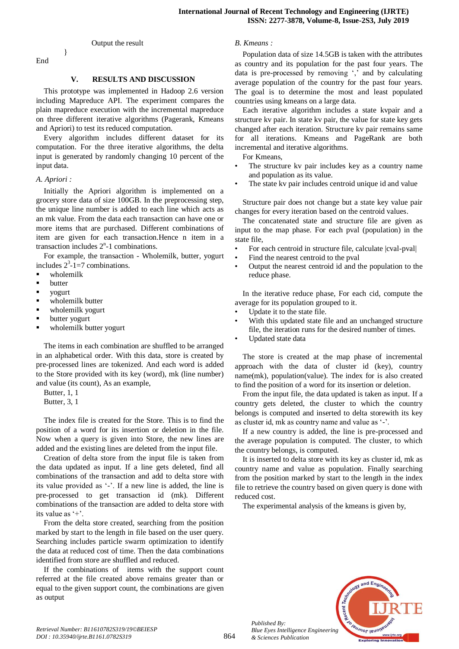End

}

#### Output the result

## **V. RESULTS AND DISCUSSION**

This prototype was implemented in Hadoop 2.6 version including Mapreduce API. The experiment compares the plain mapreduce execution with the incremental mapreduce on three different iterative algorithms (Pagerank, Kmeans and Apriori) to test its reduced computation.

Every algorithm includes different dataset for its computation. For the three iterative algorithms, the delta input is generated by randomly changing 10 percent of the input data.

#### *A. Apriori :*

Initially the Apriori algorithm is implemented on a grocery store data of size 100GB. In the preprocessing step, the unique line number is added to each line which acts as an mk value. From the data each transaction can have one or more items that are purchased. Different combinations of item are given for each transaction.Hence n item in a transaction includes  $2<sup>n</sup>$ -1 combinations.

For example, the transaction - Wholemilk, butter, yogurt includes  $2^3$ -1=7 combinations.

- wholemilk
- **butter**
- vogurt
- **•** wholemilk butter
- wholemilk yogurt
- butter yogurt
- wholemilk butter yogurt

The items in each combination are shuffled to be arranged in an alphabetical order. With this data, store is created by pre-processed lines are tokenized. And each word is added to the Store provided with its key (word), mk (line number) and value (its count), As an example,

Butter, 1, 1 Butter, 3, 1

The index file is created for the Store. This is to find the position of a word for its insertion or deletion in the file. Now when a query is given into Store, the new lines are added and the existing lines are deleted from the input file.

Creation of delta store from the input file is taken from the data updated as input. If a line gets deleted, find all combinations of the transaction and add to delta store with its value provided as '-'. If a new line is added, the line is pre-processed to get transaction id (mk). Different combinations of the transaction are added to delta store with its value as '+'.

From the delta store created, searching from the position marked by start to the length in file based on the user query. Searching includes particle swarm optimization to identify the data at reduced cost of time. Then the data combinations identified from store are shuffled and reduced.

If the combinations of items with the support count referred at the file created above remains greater than or equal to the given support count, the combinations are given as output

#### *B. Kmeans :*

Population data of size 14.5GB is taken with the attributes as country and its population for the past four years. The data is pre-processed by removing ',' and by calculating average population of the country for the past four years. The goal is to determine the most and least populated countries using kmeans on a large data.

Each iterative algorithm includes a state kvpair and a structure kv pair. In state kv pair, the value for state key gets changed after each iteration. Structure kv pair remains same for all iterations. Kmeans and PageRank are both incremental and iterative algorithms.

For Kmeans,

- The structure kv pair includes key as a country name and population as its value.
- The state kv pair includes centroid unique id and value

Structure pair does not change but a state key value pair changes for every iteration based on the centroid values.

The concatenated state and structure file are given as input to the map phase. For each pval (population) in the state file,

- For each centroid in structure file, calculate |cval-pval|
- Find the nearest centroid to the pval
- Output the nearest centroid id and the population to the reduce phase.

In the iterative reduce phase, For each cid, compute the average for its population grouped to it.

- Update it to the state file.
- With this updated state file and an unchanged structure file, the iteration runs for the desired number of times.
- Updated state data

The store is created at the map phase of incremental approach with the data of cluster id (key), country name(mk), population(value). The index for is also created to find the position of a word for its insertion or deletion.

From the input file, the data updated is taken as input. If a country gets deleted, the cluster to which the country belongs is computed and inserted to delta storewith its key as cluster id, mk as country name and value as '-'.

If a new country is added, the line is pre-processed and the average population is computed. The cluster, to which the country belongs, is computed.

It is inserted to delta store with its key as cluster id, mk as country name and value as population. Finally searching from the position marked by start to the length in the index file to retrieve the country based on given query is done with reduced cost.

The experimental analysis of the kmeans is given by,



*Published By:*